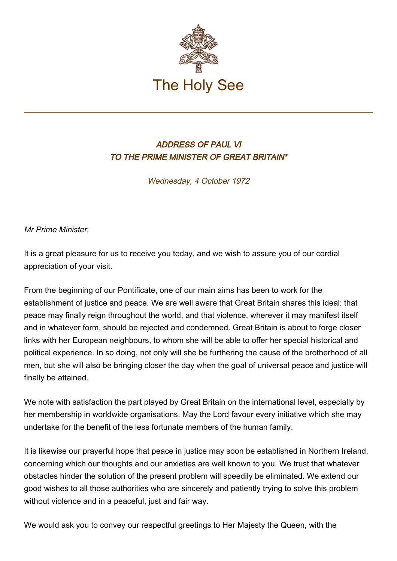

## ADDRESS OF PAUL VI TO THE PRIME MINISTER OF GREAT BRITAIN\*

Wednesday, 4 October 1972

Mr Prime Minister,

It is a great pleasure for us to receive you today, and we wish to assure you of our cordial appreciation of your visit.

From the beginning of our Pontificate, one of our main aims has been to work for the establishment of justice and peace. We are well aware that Great Britain shares this ideal: that peace may finally reign throughout the world, and that violence, wherever it may manifest itself and in whatever form, should be rejected and condemned. Great Britain is about to forge closer links with her European neighbours, to whom she will be able to offer her special historical and political experience. In so doing, not only will she be furthering the cause of the brotherhood of all men, but she will also be bringing closer the day when the goal of universal peace and justice will finally be attained.

We note with satisfaction the part played by Great Britain on the international level, especially by her membership in worldwide organisations. May the Lord favour every initiative which she may undertake for the benefit of the less fortunate members of the human family.

It is likewise our prayerful hope that peace in justice may soon be established in Northern Ireland, concerning which our thoughts and our anxieties are well known to you. We trust that whatever obstacles hinder the solution of the present problem will speedily be eliminated. We extend our good wishes to all those authorities who are sincerely and patiently trying to solve this problem without violence and in a peaceful, just and fair way.

We would ask you to convey our respectful greetings to Her Majesty the Queen, with the